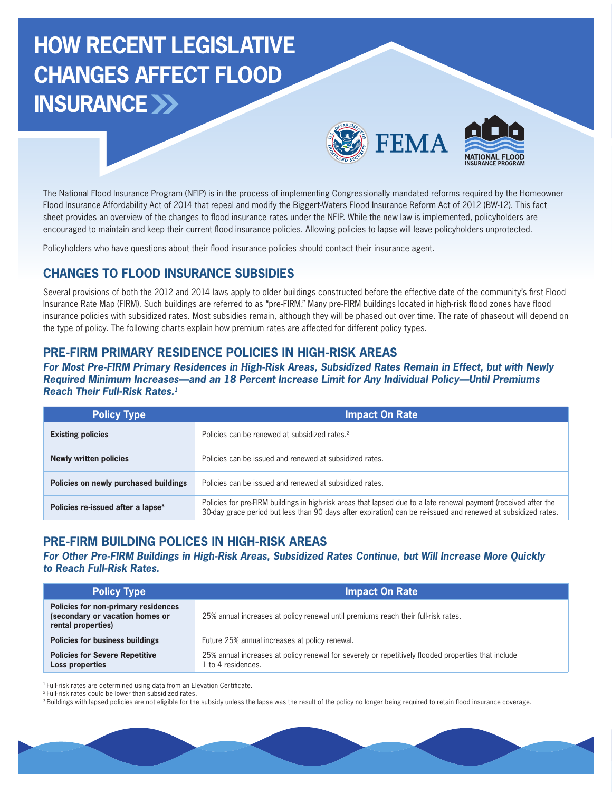# **HOW RECENT LEGISLATIVE CHANGES AFFECT FLOOD INSURANCE**





The National Flood Insurance Program (NFIP) is in the process of implementing Congressionally mandated reforms required by the Homeowner Flood Insurance Affordability Act of 2014 that repeal and modify the Biggert-Waters Flood Insurance Reform Act of 2012 (BW-12). This fact sheet provides an overview of the changes to flood insurance rates under the NFIP. While the new law is implemented, policyholders are encouraged to maintain and keep their current food insurance policies. Allowing policies to lapse will leave policyholders unprotected.

Policyholders who have questions about their food insurance policies should contact their insurance agent.

# **CHANGES TO FLOOD INSURANCE SUBSIDIES**

Several provisions of both the 2012 and 2014 laws apply to older buildings constructed before the effective date of the community's frst Flood Insurance Rate Map (FIRM). Such buildings are referred to as "pre-FIRM." Many pre-FIRM buildings located in high-risk food zones have food insurance policies with subsidized rates. Most subsidies remain, although they will be phased out over time. The rate of phaseout will depend on the type of policy. The following charts explain how premium rates are affected for different policy types.

#### **PRE-FIRM PRIMARY RESIDENCE POLICIES IN HIGH-RISK AREAS**

**For Most Pre-FIRM Primary Residences in High-Risk Areas, Subsidized Rates Remain in Effect, but with Newly Required Minimum Increases—and an 18 Percent Increase Limit for Any Individual Policy—Until Premiums Reach Their Full-Risk Rates.1**

| <b>Policy Type</b>                            | <b>Impact On Rate</b>                                                                                                                                                                                                             |
|-----------------------------------------------|-----------------------------------------------------------------------------------------------------------------------------------------------------------------------------------------------------------------------------------|
| <b>Existing policies</b>                      | Policies can be renewed at subsidized rates. <sup>2</sup>                                                                                                                                                                         |
| Newly written policies                        | Policies can be issued and renewed at subsidized rates.                                                                                                                                                                           |
| Policies on newly purchased buildings         | Policies can be issued and renewed at subsidized rates.                                                                                                                                                                           |
| Policies re-issued after a lapse <sup>3</sup> | Policies for pre-FIRM buildings in high-risk areas that lapsed due to a late renewal payment (received after the<br>30-day grace period but less than 90 days after expiration) can be re-issued and renewed at subsidized rates. |

### **PRE-FIRM BUILDING POLICES IN HIGH-RISK AREAS**

#### **For Other Pre-FIRM Buildings in High-Risk Areas, Subsidized Rates Continue, but Will Increase More Quickly to Reach Full-Risk Rates.**

| <b>Policy Type</b>                                                                           | <b>Impact On Rate</b>                                                                                                   |
|----------------------------------------------------------------------------------------------|-------------------------------------------------------------------------------------------------------------------------|
| Policies for non-primary residences<br>(secondary or vacation homes or<br>rental properties) | 25% annual increases at policy renewal until premiums reach their full-risk rates.                                      |
| <b>Policies for business buildings</b>                                                       | Future 25% annual increases at policy renewal.                                                                          |
| <b>Policies for Severe Repetitive</b><br>Loss properties                                     | 25% annual increases at policy renewal for severely or repetitively flooded properties that include<br>to 4 residences. |

<sup>1</sup> Full-risk rates are determined using data from an Elevation Certificate.

<sup>2</sup> Full-risk rates could be lower than subsidized rates.

<sup>3</sup> Buildings with lapsed policies are not eligible for the subsidy unless the lapse was the result of the policy no longer being required to retain flood insurance coverage.